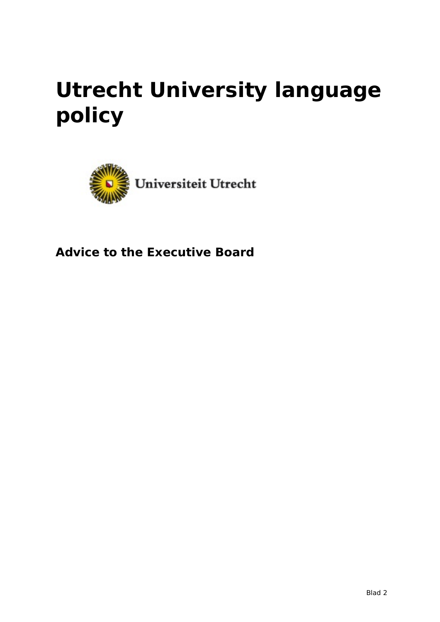# **Utrecht University language policy**



**Advice to the Executive Board**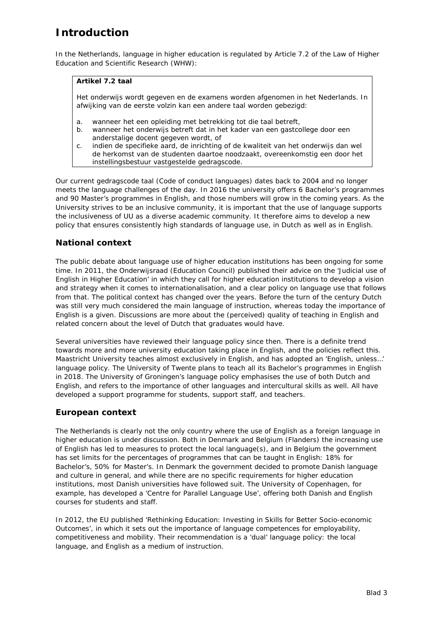# **Introduction**

In the Netherlands, language in higher education is regulated by Article 7.2 of the Law of Higher Education and Scientific Research (WHW):

#### **Artikel 7.2 taal**

Het onderwijs wordt gegeven en de examens worden afgenomen in het Nederlands. In afwijking van de eerste volzin kan een andere taal worden gebezigd:

- a. wanneer het een opleiding met betrekking tot die taal betreft,
- b. wanneer het onderwijs betreft dat in het kader van een gastcollege door een anderstalige docent gegeven wordt, of
- c. indien de specifieke aard, de inrichting of de kwaliteit van het onderwijs dan wel de herkomst van de studenten daartoe noodzaakt, overeenkomstig een door het instellingsbestuur vastgestelde gedragscode.

Our current *gedragscode taal* (Code of conduct languages) dates back to 2004 and no longer meets the language challenges of the day. In 2016 the university offers 6 Bachelor's programmes and 90 Master's programmes in English, and those numbers will grow in the coming years. As the University strives to be an inclusive community, it is important that the use of language supports the inclusiveness of UU as a diverse academic community. It therefore aims to develop a new policy that ensures consistently high standards of language use, in Dutch as well as in English.

# **National context**

The public debate about language use of higher education institutions has been ongoing for some time. In 2011, the *Onderwijsraad* (Education Council) published their advice on the 'Judicial use of English in Higher Education' in which they call for higher education institutions to develop a vision and strategy when it comes to internationalisation, and a clear policy on language use that follows from that. The political context has changed over the years. Before the turn of the century Dutch was still very much considered the main language of instruction, whereas today the importance of English is a given. Discussions are more about the (perceived) quality of teaching in English and related concern about the level of Dutch that graduates would have.

Several universities have reviewed their language policy since then. There is a definite trend towards more and more university education taking place in English, and the policies reflect this. Maastricht University teaches almost exclusively in English, and has adopted an 'English, unless…' language policy. The University of Twente plans to teach all its Bachelor's programmes in English in 2018. The University of Groningen's language policy emphasises the use of both Dutch and English, and refers to the importance of other languages and intercultural skills as well. All have developed a support programme for students, support staff, and teachers.

#### **European context**

The Netherlands is clearly not the only country where the use of English as a foreign language in higher education is under discussion. Both in Denmark and Belgium (Flanders) the increasing use of English has led to measures to protect the local language(s), and in Belgium the government has set limits for the percentages of programmes that can be taught in English: 18% for Bachelor's, 50% for Master's. In Denmark the government decided to promote Danish language and culture in general, and while there are no specific requirements for higher education institutions, most Danish universities have followed suit. The University of Copenhagen, for example, has developed a 'Centre for Parallel Language Use', offering both Danish and English courses for students and staff.

In 2012, the EU published 'Rethinking Education: Investing in Skills for Better Socio-economic Outcomes', in which it sets out the importance of language competences for employability, competitiveness and mobility. Their recommendation is a 'dual' language policy: the local language, and English as a medium of instruction.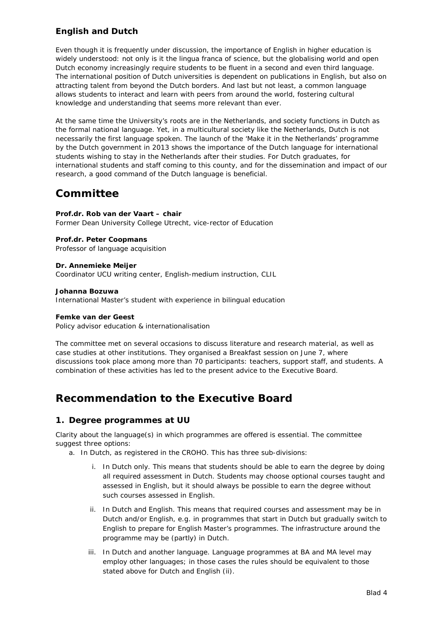# **English and Dutch**

Even though it is frequently under discussion, the importance of English in higher education is widely understood: not only is it the *lingua franca* of science, but the globalising world and open Dutch economy increasingly require students to be fluent in a second and even third language. The international position of Dutch universities is dependent on publications in English, but also on attracting talent from beyond the Dutch borders. And last but not least, a common language allows students to interact and learn with peers from around the world, fostering cultural knowledge and understanding that seems more relevant than ever.

At the same time the University's roots are in the Netherlands, and society functions in Dutch as the formal national language. Yet, in a multicultural society like the Netherlands, Dutch is not necessarily the first language spoken. The launch of the 'Make it in the Netherlands' programme by the Dutch government in 2013 shows the importance of the Dutch language for international students wishing to stay in the Netherlands after their studies. For Dutch graduates, for international students and staff coming to this county, and for the dissemination and impact of our research, a good command of the Dutch language is beneficial.

# **Committee**

**Prof.dr. Rob van der Vaart – chair** Former Dean University College Utrecht, vice-rector of Education

**Prof.dr. Peter Coopmans** Professor of language acquisition

**Dr. Annemieke Meijer** Coordinator UCU writing center, English-medium instruction, CLIL

#### **Johanna Bozuwa**

International Master's student with experience in bilingual education

#### **Femke van der Geest**

Policy advisor education & internationalisation

The committee met on several occasions to discuss literature and research material, as well as case studies at other institutions. They organised a Breakfast session on June 7, where discussions took place among more than 70 participants: teachers, support staff, and students. A combination of these activities has led to the present advice to the Executive Board.

# **Recommendation to the Executive Board**

#### **1. Degree programmes at UU**

Clarity about the language(s) in which programmes are offered is essential. The committee suggest three options:

- a. In Dutch, as registered in the CROHO. This has three sub-divisions:
	- i. In Dutch only. This means that students should be able to earn the degree by doing all required assessment in Dutch. Students may choose optional courses taught and assessed in English, but it should always be possible to earn the degree without such courses assessed in English.
	- ii. In Dutch and English. This means that required courses and assessment may be in Dutch and/or English, e.g. in programmes that start in Dutch but gradually switch to English to prepare for English Master's programmes. The infrastructure around the programme may be (partly) in Dutch.
	- iii. In Dutch and another language. Language programmes at BA and MA level may employ other languages; in those cases the rules should be equivalent to those stated above for Dutch and English (ii).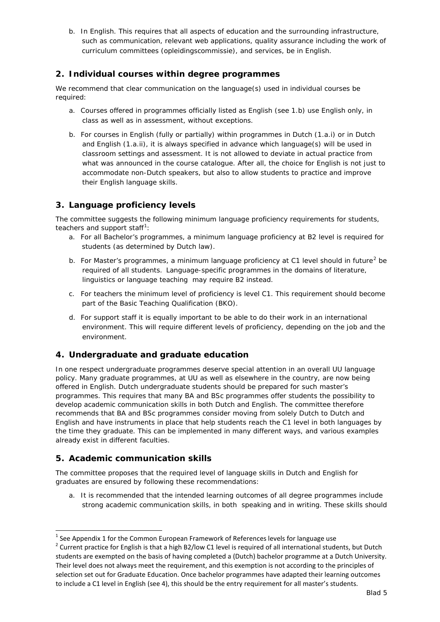b. In English. This requires that all aspects of education and the surrounding infrastructure, such as communication, relevant web applications, quality assurance including the work of curriculum committees (*opleidingscommissie*), and services, be in English.

### **2. Individual courses within degree programmes**

We recommend that clear communication on the language(s) used in individual courses be required:

- a. Courses offered in programmes officially listed as English (see 1.b) use English only, in class as well as in assessment, without exceptions.
- b. For courses in English (fully or partially) within programmes in Dutch (1.a.i) or in Dutch and English (1.a.ii), it is always specified in advance which language(s) will be used in classroom settings and assessment. It is not allowed to deviate in actual practice from what was announced in the course catalogue. After all, the choice for English is not just to accommodate non-Dutch speakers, but also to allow students to practice and improve their English language skills.

# **3. Language proficiency levels**

The committee suggests the following minimum language proficiency requirements for students, teachers and support staff<sup>[1](#page-3-0)</sup>:

- a. For all Bachelor's programmes, a minimum language proficiency at B2 level is required for students (as determined by Dutch law).
- b. For Master's programmes, a minimum language proficiency at C1 level should in future<sup>[2](#page-3-1)</sup> be required of all students. Language-specific programmes in the domains of literature, linguistics or language teaching may require B2 instead.
- c. For teachers the minimum level of proficiency is level C1. This requirement should become part of the Basic Teaching Qualification (*BKO*).
- d. For support staff it is equally important to be able to do their work in an international environment. This will require different levels of proficiency, depending on the job and the environment.

# **4. Undergraduate and graduate education**

In one respect undergraduate programmes deserve special attention in an overall UU language policy. Many graduate programmes, at UU as well as elsewhere in the country, are now being offered in English. Dutch undergraduate students should be prepared for such master's programmes. This requires that many BA and BSc programmes offer students the possibility to develop academic communication skills in both Dutch and English. The committee therefore recommends that BA and BSc programmes consider moving from solely Dutch to Dutch and English and have instruments in place that help students reach the C1 level in both languages by the time they graduate. This can be implemented in many different ways, and various examples already exist in different faculties.

# **5. Academic communication skills**

The committee proposes that the required level of language skills in Dutch and English for graduates are ensured by following these recommendations:

a. It is recommended that the intended learning outcomes of all degree programmes include strong academic communication skills, in both speaking and in writing. These skills should

<span id="page-3-0"></span> $<sup>1</sup>$  See Appendix 1 for the Common European Framework of References levels for language use</sup> -

<span id="page-3-1"></span> $2$  Current practice for English is that a high B2/low C1 level is required of all international students, but Dutch students are exempted on the basis of having completed a (Dutch) bachelor programme at a Dutch University. Their level does not always meet the requirement, and this exemption is not according to the principles of selection set out for Graduate Education. Once bachelor programmes have adapted their learning outcomes to include a C1 level in English (see 4), this should be the entry requirement for all master's students.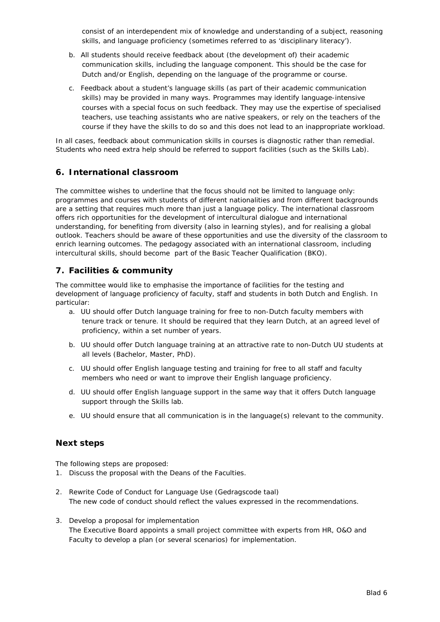consist of an interdependent mix of knowledge and understanding of a subject, reasoning skills, and language proficiency (sometimes referred to as 'disciplinary literacy').

- b. All students should receive feedback about (the development of) their academic communication skills, including the language component. This should be the case for Dutch and/or English, depending on the language of the programme or course.
- c. Feedback about a student's language skills (as part of their academic communication skills) may be provided in many ways. Programmes may identify language-intensive courses with a special focus on such feedback. They may use the expertise of specialised teachers, use teaching assistants who are native speakers, or rely on the teachers of the course if they have the skills to do so and this does not lead to an inappropriate workload.

In all cases, feedback about communication skills in courses is diagnostic rather than remedial. Students who need extra help should be referred to support facilities (such as the Skills Lab).

#### **6. International classroom**

The committee wishes to underline that the focus should not be limited to language only: programmes and courses with students of different nationalities and from different backgrounds are a setting that requires much more than just a language policy. The international classroom offers rich opportunities for the development of intercultural dialogue and international understanding, for benefiting from diversity (also in learning styles), and for realising a global outlook. Teachers should be aware of these opportunities and use the diversity of the classroom to enrich learning outcomes. The pedagogy associated with an international classroom, including intercultural skills, should become part of the Basic Teacher Qualification (*BKO*).

# **7. Facilities & community**

The committee would like to emphasise the importance of facilities for the testing and development of language proficiency of faculty, staff and students in both Dutch and English. In particular:

- a. UU should offer Dutch language training for free to non-Dutch faculty members with tenure track or tenure. It should be required that they learn Dutch, at an agreed level of proficiency, within a set number of years.
- b. UU should offer Dutch language training at an attractive rate to non-Dutch UU students at all levels (Bachelor, Master, PhD).
- c. UU should offer English language testing and training for free to all staff and faculty members who need or want to improve their English language proficiency.
- d. UU should offer English language support in the same way that it offers Dutch language support through the Skills lab.
- e. UU should ensure that all communication is in the language(s) relevant to the community.

#### **Next steps**

The following steps are proposed:

- 1. Discuss the proposal with the Deans of the Faculties.
- 2. Rewrite Code of Conduct for Language Use (*Gedragscode taal*) The new code of conduct should reflect the values expressed in the recommendations.
- 3. Develop a proposal for implementation The Executive Board appoints a small project committee with experts from HR, O&O and Faculty to develop a plan (or several scenarios) for implementation.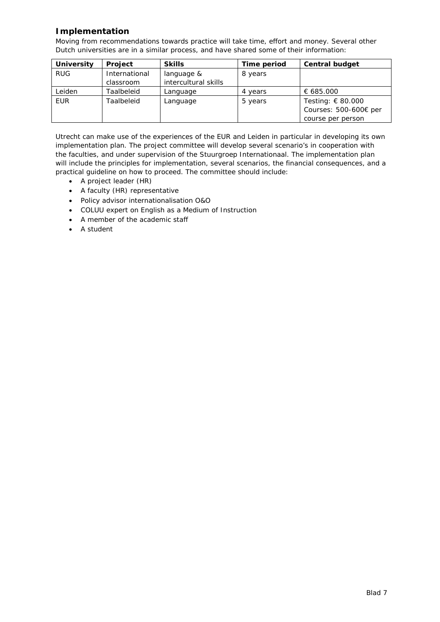# **Implementation**

Moving from recommendations towards practice will take time, effort and money. Several other Dutch universities are in a similar process, and have shared some of their information:

| <b>University</b> | <b>Project</b> | <b>Skills</b>        | Time period | <b>Central budget</b> |
|-------------------|----------------|----------------------|-------------|-----------------------|
| <b>RUG</b>        | International  | language &           | 8 years     |                       |
|                   | classroom      | intercultural skills |             |                       |
| Leiden            | Taalbeleid     | Language             | 4 years     | € 685.000             |
| <b>EUR</b>        | Taalbeleid     | Language             | 5 years     | Testing: € 80.000     |
|                   |                |                      |             | Courses: 500-600€ per |
|                   |                |                      |             | course per person     |

Utrecht can make use of the experiences of the EUR and Leiden in particular in developing its own implementation plan. The project committee will develop several scenario's in cooperation with the faculties, and under supervision of the *Stuurgroep Internationaal*. The implementation plan will include the principles for implementation, several scenarios, the financial consequences, and a practical guideline on how to proceed. The committee should include:

- A project leader (HR)
- A faculty (HR) representative
- Policy advisor internationalisation O&O
- COLUU expert on English as a Medium of Instruction
- A member of the academic staff
- A student